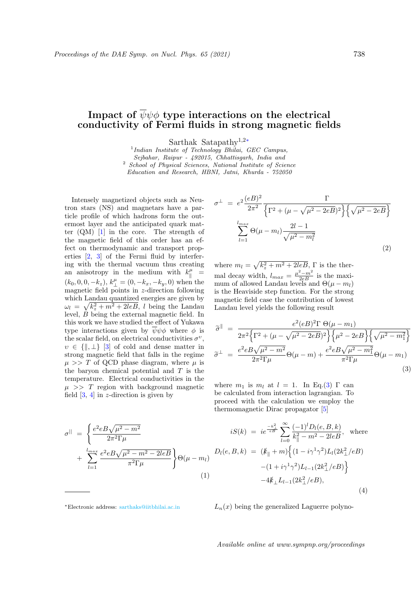## Impact of  $\overline{\psi}\psi\phi$  type interactions on the electrical conductivity of Fermi fluids in strong magnetic fields

Sarthak Satapathy<sup>1</sup>,2<sup>∗</sup>

<sup>1</sup>Indian Institute of Technology Bhilai, GEC Campus, Sejbahar, Raipur - 492015, Chhattisgarh, India and <sup>2</sup> School of Physical Sciences, National Institute of Science Education and Research, HBNI, Jatni, Khurda - 752050

Intensely magnetized objects such as Neutron stars (NS) and magnetars have a particle profile of which hadrons form the outermost layer and the anticipated quark matter (QM) [1] in the core. The strength of the magnetic field of this order has an effect on thermodynamic and transport properties [2, 3] of the Fermi fluid by interfering with the thermal vacuum thus creating an anisotropy in the medium with  $k_{\parallel}^{\mu}$  =  $(k_0, 0, 0, -k_z), k^{\mu}_{\perp} = (0, -k_x, -k_y, 0)$  when the magnetic field points in z-direction following which Landau quantized energies are given by  $\omega_l = \sqrt{k_z^2 + m^2 + 2leB}$ , l being the Landau level, B being the external magnetic field. In this work we have studied the effect of Yukawa type interactions given by  $\psi \psi \phi$  where  $\phi$  is the scalar field, on electrical conductivities  $\sigma^v$ ,  $v \in \{\parallel, \perp\}$  [3] of cold and dense matter in strong magnetic field that falls in the regime  $\mu >> T$  of QCD phase diagram, where  $\mu$  is the baryon chemical potential and  $T$  is the temperature. Electrical conductivities in the  $\mu \gg T$  region with background magnetic field  $[3, 4]$  in z-direction is given by

$$
\sigma^{\parallel} = \left\{ \frac{e^2 e B \sqrt{\mu^2 - m^2}}{2\pi^2 \Gamma \mu} + \sum_{l=1}^{l_{max}} \frac{e^2 e B \sqrt{\mu^2 - m^2 - 2leB}}{\pi^2 \Gamma \mu} \right\} \Theta(\mu - m_l)
$$
\n(1)

$$
\sigma^{\perp} = e^{2} \frac{(eB)^{2}}{2\pi^{2}} \frac{\Gamma}{\left\{\Gamma^{2} + (\mu - \sqrt{\mu^{2} - 2eB})^{2}\right\} \left\{\sqrt{\mu^{2} - 2eB}\right\}}
$$

$$
\sum_{l=1}^{l_{max}} \Theta(\mu - m_{l}) \frac{2l - 1}{\sqrt{\mu^{2} - m_{l}^{2}}}
$$
(2)

where  $m_l = \sqrt{k_z^2 + m^2 + 2leB}$ ,  $\Gamma$  is the thermal decay width,  $l_{max} = \frac{\mu^2 - m^2}{2eB}$  is the maximum of allowed Landau levels and  $\Theta(\mu - m_l)$ is the Heaviside step function. For the strong magnetic field case the contribution of lowest Landau level yields the following result

$$
\widetilde{\sigma}^{\parallel} = \frac{e^2(eB)^2 \Gamma \Theta(\mu - m_1)}{2\pi^2 \left\{ \Gamma^2 + (\mu - \sqrt{\mu^2 - 2eB})^2 \right\} \left\{ \mu^2 - 2eB \right\} \left\{ \sqrt{\mu^2 - m_1^2} \right\}} \n\widetilde{\sigma}^{\perp} = \frac{e^2 eB \sqrt{\mu^2 - m^2}}{2\pi^2 \Gamma \mu} \Theta(\mu - m) + \frac{e^2 eB \sqrt{\mu^2 - m_1^2}}{\pi^2 \Gamma \mu} \Theta(\mu - m_1)
$$
\n(3)

 $\sim$ 

where  $m_1$  is  $m_l$  at  $l = 1$ . In Eq.(3) Γ can be calculated from interaction lagrangian. To proceed with the calculation we employ the thermomagnetic Dirac propagator [5]

$$
iS(k) = ie^{\frac{-k_{\perp}^{2}}{eB}} \sum_{l=0}^{\infty} \frac{(-1)^{l}D_{l}(e, B, k)}{k_{\parallel}^{2} - m^{2} - 2leB}, \text{ where}
$$

$$
D_{l}(e, B, k) = (k_{\parallel} + m) \Big\{ (1 - i\gamma^{1} \gamma^{2}) L_{l}(2k_{\perp}^{2}/eB) - (1 + i\gamma^{1} \gamma^{2}) L_{l-1}(2k_{\perp}^{2}/eB) \Big\}
$$

$$
-4k_{\perp} L_{l-1}(2k_{\perp}^{2}/eB), \tag{4}
$$

 $L_n(x)$  being the generalized Laguerre polyno-

Available online at www.sympnp.org/proceedings

<sup>∗</sup>Electronic address: sarthaks@iitbhilai.ac.in